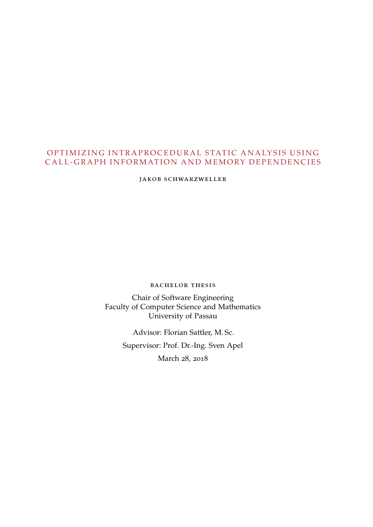# OPTIMIZING INTRAPROCEDURAL STATIC ANALYSIS USING CALL-GRAPH INFORMATION AND MEMORY DEPENDENCIES

jakob schwarzweller

BACHELOR THESIS

Chair of Software Engineering Faculty of Computer Science and Mathematics University of Passau

> Advisor: Florian Sattler, M. Sc. Supervisor: Prof. Dr.-Ing. Sven Apel March 28, 2018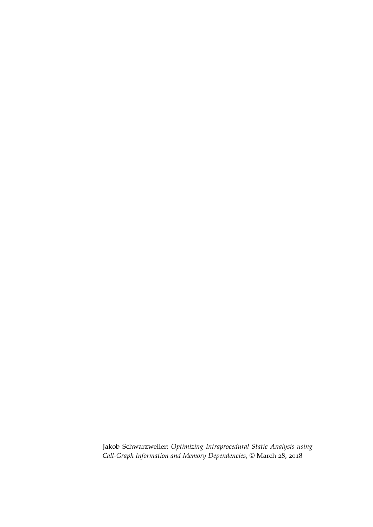Jakob Schwarzweller: *Optimizing Intraprocedural Static Analysis using Call-Graph Information and Memory Dependencies*, © March 28, 2018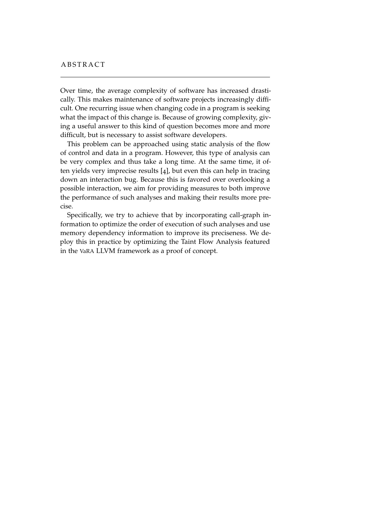Over time, the average complexity of software has increased drastically. This makes maintenance of software projects increasingly difficult. One recurring issue when changing code in a program is seeking what the impact of this change is. Because of growing complexity, giving a useful answer to this kind of question becomes more and more difficult, but is necessary to assist software developers.

This problem can be approached using static analysis of the flow of control and data in a program. However, this type of analysis can be very complex and thus take a long time. At the same time, it often yields very imprecise results [[4](#page-34-0)], but even this can help in tracing down an interaction bug. Because this is favored over overlooking a possible interaction, we aim for providing measures to both improve the performance of such analyses and making their results more precise.

Specifically, we try to achieve that by incorporating call-graph information to optimize the order of execution of such analyses and use memory dependency information to improve its preciseness. We deploy this in practice by optimizing the Taint Flow Analysis featured in the [VaRA](#page-6-0) LLVM framework as a proof of concept.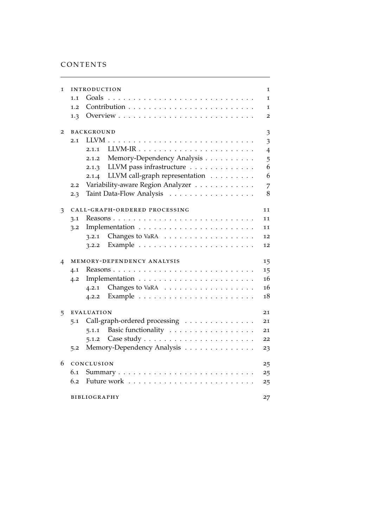# CONTENTS

| 1              | INTRODUCTION                                               | 1              |
|----------------|------------------------------------------------------------|----------------|
|                | Goals<br>$\cdots$<br>1.1<br>.<br>$\cdot$                   | 1              |
|                | Contribution<br>1.2<br>.<br>$\ddot{\phantom{a}}$           | 1              |
|                | 1.3                                                        | $\overline{2}$ |
|                |                                                            |                |
| $\overline{2}$ | <b>BACKGROUND</b>                                          | 3              |
|                | LLVM.<br>2.1<br>$\cdot$                                    | 3              |
|                | 2.1.1                                                      | $\overline{4}$ |
|                | Memory-Dependency Analysis<br>2.1.2                        | 5              |
|                | 2.1.3 LLVM pass infrastructure                             | 6              |
|                | 2.1.4 LLVM call-graph representation                       | 6              |
|                | Variability-aware Region Analyzer<br>2.2                   | 7              |
|                | Taint Data-Flow Analysis<br>2.3                            | 8              |
| 3              | CALL-GRAPH-ORDERED PROCESSING                              | 11             |
|                | 3.1                                                        | 11             |
|                | 3.2                                                        | 11             |
|                | 3.2.1 Changes to VaRA $\ldots \ldots \ldots \ldots \ldots$ | 12             |
|                | 3.2.2                                                      | 12             |
|                |                                                            |                |
| 4              | MEMORY-DEPENDENCY ANALYSIS                                 | 15             |
|                | 4.1                                                        | 15             |
|                | 4.2                                                        | 16             |
|                | 4.2.1 Changes to VaRA $\ldots \ldots \ldots \ldots \ldots$ | 16             |
|                | 4.2.2                                                      | 18             |
| 5              | <b>EVALUATION</b>                                          | 21             |
|                | Call-graph-ordered processing<br>5.1                       | 21             |
|                | Basic functionality<br>5.1.1                               | 21             |
|                | 5.1.2                                                      | 22             |
|                | Memory-Dependency Analysis<br>5.2                          |                |
|                |                                                            | 23             |
| 6              | CONCLUSION                                                 | 25             |
|                | 6.1                                                        | 25             |
|                | Future work<br>6.2                                         | 25             |
|                | <b>BIBLIOGRAPHY</b>                                        | 27             |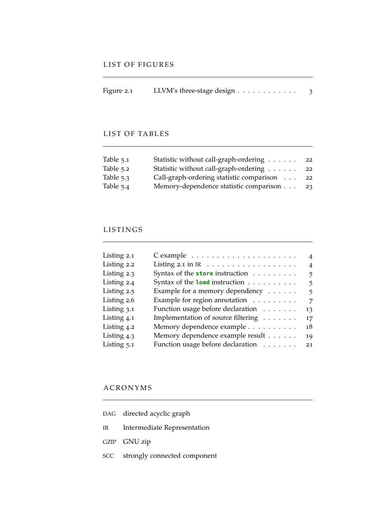| Figure 2.1 | LLVM's three-stage design |  |
|------------|---------------------------|--|
|            |                           |  |

# LIST OF TABLES

| Table $5.1$ | Statistic without call-graph-ordering    | 22 |
|-------------|------------------------------------------|----|
| Table 5.2   | Statistic without call-graph-ordering    | 22 |
| Table $5.3$ | Call-graph-ordering statistic comparison | 22 |
| Table $5.4$ | Memory-dependence statistic comparison   | 23 |

# LISTINGS

| Listing 2.1   |                                                              | 4              |
|---------------|--------------------------------------------------------------|----------------|
| Listing 2.2   | Listing 2.1 in IR $\dots \dots \dots \dots \dots$            | $\overline{4}$ |
| Listing 2.3   | Syntax of the store instruction                              | 5.             |
| Listing 2.4   | Syntax of the <b>load</b> instruction $\ldots \ldots \ldots$ | 5              |
| Listing 2.5   | Example for a memory dependency $\dots \dots$                | 5.             |
| Listing 2.6   | Example for region annotation                                | 7              |
| Listing 3.1   | Function usage before declaration                            | 13             |
| Listing 4.1   | Implementation of source filtering                           | 17             |
| Listing 4.2   | Memory dependence example                                    | 18             |
| Listing 4.3   | Memory dependence example result                             | 19             |
| Listing $5.1$ | Function usage before declaration                            | 21             |
|               |                                                              |                |

# **A C R ON Y M S**

<span id="page-5-3"></span><span id="page-5-2"></span><span id="page-5-1"></span><span id="page-5-0"></span>

|     | DAG directed acyclic graph   |
|-----|------------------------------|
| IR  | Intermediate Representation  |
|     | GZIP GNU zip                 |
| SCC | strongly connected component |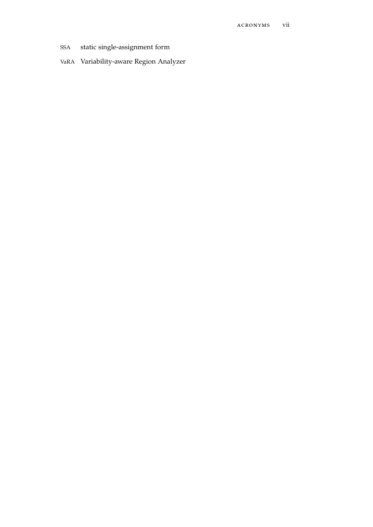- <span id="page-6-1"></span>static single-assignment form **SSA**
- <span id="page-6-0"></span>VaRA Variability-aware Region Analyzer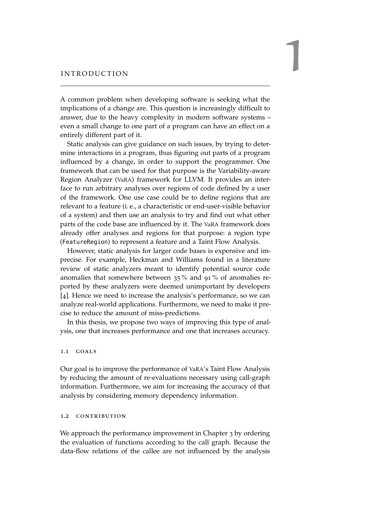# <span id="page-8-0"></span>INTRODUCTION

A common problem when developing software is seeking what the implications of a change are. This question is increasingly difficult to answer, due to the heavy complexity in modern software systems – even a small change to one part of a program can have an effect on a entirely different part of it.

Static analysis can give guidance on such issues, by trying to determine interactions in a program, thus figuring out parts of a program influenced by a change, in order to support the programmer. One framework that can be used for that purpose is the Variability-aware Region Analyzer ([VaRA](#page-6-0)) framework for LLVM. It provides an interface to run arbitrary analyses over regions of code defined by a user of the framework. One use case could be to define regions that are relevant to a feature (i. e., a characteristic or end-user-visible behavior of a system) and then use an analysis to try and find out what other parts of the code base are influenced by it. The [VaRA](#page-6-0) framework does already offer analyses and regions for that purpose: a region type (FeatureRegion) to represent a feature and a Taint Flow Analysis.

However, static analysis for larger code bases is expensive and imprecise. For example, Heckman and Williams found in a literature review of static analyzers meant to identify potential source code anomalies that somewhere between 35 % and 91 % of anomalies reported by these analyzers were deemed unimportant by developers [[4](#page-34-0)]. Hence we need to increase the analysis's performance, so we can analyze real-world applications. Furthermore, we need to make it precise to reduce the amount of miss-predictions.

In this thesis, we propose two ways of improving this type of analysis, one that increases performance and one that increases accuracy.

# <span id="page-8-1"></span>1.1 goals

Our goal is to improve the performance of [VaRA](#page-6-0)'s Taint Flow Analysis by reducing the amount of re-evaluations necessary using call-graph information. Furthermore, we aim for increasing the accuracy of that analysis by considering memory dependency information.

# <span id="page-8-2"></span>1.2 contribution

We approach the performance improvement in Chapter [3](#page-17-0) by ordering the evaluation of functions according to the call graph. Because the data-flow relations of the callee are not influenced by the analysis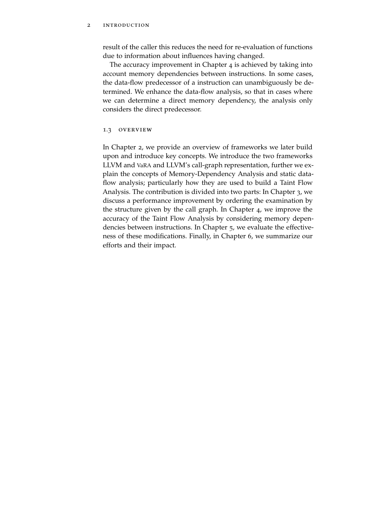# 2 introduction

result of the caller this reduces the need for re-evaluation of functions due to information about influences having changed.

The accuracy improvement in Chapter [4](#page-21-0) is achieved by taking into account memory dependencies between instructions. In some cases, the data-flow predecessor of a instruction can unambiguously be determined. We enhance the data-flow analysis, so that in cases where we can determine a direct memory dependency, the analysis only considers the direct predecessor.

### <span id="page-9-0"></span>1.3 OVERVIEW

In Chapter [2](#page-10-0), we provide an overview of frameworks we later build upon and introduce key concepts. We introduce the two frameworks LLVM and [VaRA](#page-6-0) and LLVM's call-graph representation, further we explain the concepts of Memory-Dependency Analysis and static dataflow analysis; particularly how they are used to build a Taint Flow Analysis. The contribution is divided into two parts: In Chapter [3](#page-17-0), we discuss a performance improvement by ordering the examination by the structure given by the call graph. In Chapter [4](#page-21-0), we improve the accuracy of the Taint Flow Analysis by considering memory dependencies between instructions. In Chapter [5](#page-27-0), we evaluate the effectiveness of these modifications. Finally, in Chapter [6](#page-32-0), we summarize our efforts and their impact.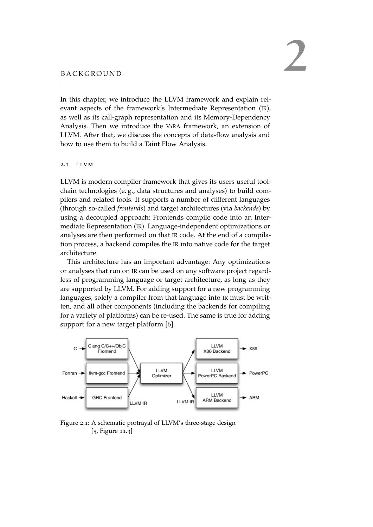<span id="page-10-0"></span>In this chapter, we introduce the LLVM framework and explain relevant aspects of the framework's Intermediate Representation ([IR](#page-5-0)), as well as its call-graph representation and its Memory-Dependency Analysis. Then we introduce the [VaRA](#page-6-0) framework, an extension of LLVM. After that, we discuss the concepts of data-flow analysis and how to use them to build a Taint Flow Analysis.

# <span id="page-10-1"></span>2.1 llvm

LLVM is modern compiler framework that gives its users useful toolchain technologies (e. g., data structures and analyses) to build compilers and related tools. It supports a number of different languages (through so-called *frontends*) and target architectures (via *backends*) by using a decoupled approach: Frontends compile code into an Intermediate Representation ([IR](#page-5-0)). Language-independent optimizations or analyses are then performed on that [IR](#page-5-0) code. At the end of a compilation process, a backend compiles the [IR](#page-5-0) into native code for the target architecture.

This architecture has an important advantage: Any optimizations or analyses that run on [IR](#page-5-0) can be used on any software project regardless of programming language or target architecture, as long as they are supported by LLVM. For adding support for a new programming languages, solely a compiler from that language into [IR](#page-5-0) must be written, and all other components (including the backends for compiling for a variety of platforms) can be re-used. The same is true for adding support for a new target platform [[6](#page-34-2)].

<span id="page-10-3"></span>

<span id="page-10-2"></span>Figure 2.1: A schematic portrayal of LLVM's three-stage design [[5](#page-34-3), Figure 11.3]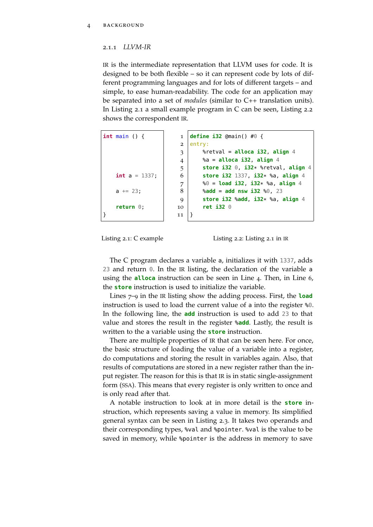## 2.1.1 *LLVM-IR*

[IR](#page-5-0) is the intermediate representation that LLVM uses for code. It is designed to be both flexible – so it can represent code by lots of different programming languages and for lots of different targets – and simple, to ease human-readability. The code for an application may be separated into a set of *modules* (similar to C++ translation units). In Listing [2](#page-11-0).1 a small example program in C can be seen, Listing [2](#page-11-1).2 shows the correspondent [IR](#page-5-0).

<span id="page-11-1"></span><span id="page-11-0"></span>

| $int \text{ main}() \{$ | $\mathbf{1}$   | define i32 @main() #0 {                       |
|-------------------------|----------------|-----------------------------------------------|
|                         | $\overline{2}$ | entry:                                        |
|                         | 3              | %retval = $alloca$ i32, align 4               |
|                         | 4              | % $a =$ alloca i32, align 4                   |
|                         | 5              | store i32 $\theta$ , i32* %retval, align 4    |
| <b>int</b> $a = 1337$ ; | 6              | store i32 1337, i32* %a, align 4              |
|                         | 7              | $\%0 =$ load i32, i32* %a, align 4            |
| $a == 23$ ;             | 8              | $\text{8}$ add = add nsw i32 $\text{80}$ , 23 |
|                         | 9              | store $i32$ %add, $i32*$ %a, align 4          |
| return $0$ ;            | 10             | ret $i32$ $0$                                 |
|                         | 11             |                                               |



Listing 2.2: Listing [2](#page-11-0).1 in [IR](#page-5-0)

The C program declares a variable a, initializes it with 1337, adds 23 and return 0. In the [IR](#page-5-0) listing, the declaration of the variable a using the **alloca** instruction can be seen in Line 4. Then, in Line 6, the **store** instruction is used to initialize the variable.

Lines 7–9 in the [IR](#page-5-0) listing show the adding process. First, the **load** instruction is used to load the current value of a into the register %0. In the following line, the **add** instruction is used to add 23 to that value and stores the result in the register %**add**. Lastly, the result is written to the a variable using the **store** instruction.

There are multiple properties of [IR](#page-5-0) that can be seen here. For once, the basic structure of loading the value of a variable into a register, do computations and storing the result in variables again. Also, that results of computations are stored in a new register rather than the input register. The reason for this is that [IR](#page-5-0) is in static single-assignment form ([SSA](#page-6-1)). This means that every register is only written to once and is only read after that.

A notable instruction to look at in more detail is the **store** instruction, which represents saving a value in memory. Its simplified general syntax can be seen in Listing [2](#page-12-1).3. It takes two operands and their corresponding types, %val and %pointer. %val is the value to be saved in memory, while %pointer is the address in memory to save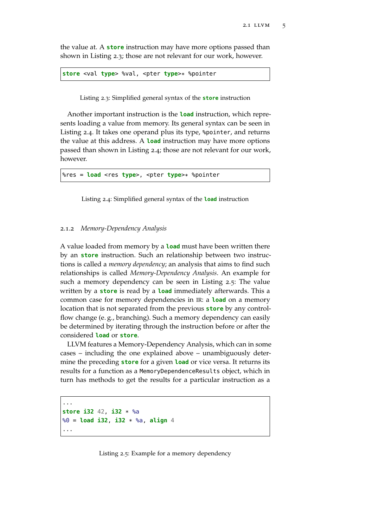the value at. A **store** instruction may have more options passed than shown in Listing [2](#page-12-1).3; those are not relevant for our work, however.

<span id="page-12-1"></span>**store** <val **type**> %val, <pter **type**>\* %pointer

Listing 2.3: Simplified general syntax of the **store** instruction

Another important instruction is the **load** instruction, which represents loading a value from memory. Its general syntax can be seen in Listing [2](#page-12-2).4. It takes one operand plus its type, %pointer, and returns the value at this address. A **load** instruction may have more options passed than shown in Listing [2](#page-12-2).4; those are not relevant for our work, however.

<span id="page-12-2"></span>%res = **load** <res **type**>, <pter **type**>\* %pointer

Listing 2.4: Simplified general syntax of the **load** instruction

## <span id="page-12-0"></span>2.1.2 *Memory-Dependency Analysis*

A value loaded from memory by a **load** must have been written there by an **store** instruction. Such an relationship between two instructions is called a *memory dependency*; an analysis that aims to find such relationships is called *Memory-Dependency Analysis*. An example for such a memory dependency can be seen in Listing [2](#page-12-3).5: The value written by a **store** is read by a **load** immediately afterwards. This a common case for memory dependencies in [IR](#page-5-0): a **load** on a memory location that is not separated from the previous **store** by any controlflow change (e. g., branching). Such a memory dependency can easily be determined by iterating through the instruction before or after the considered **load** or **store**.

LLVM features a Memory-Dependency Analysis, which can in some cases – including the one explained above – unambiguously determine the preceding **store** for a given **load** or vice versa. It returns its results for a function as a MemoryDependenceResults object, which in turn has methods to get the results for a particular instruction as a

```
...
store i32 42, i32 * %a
%0 = load i32, i32 * %a, align 4
...
```
Listing 2.5: Example for a memory dependency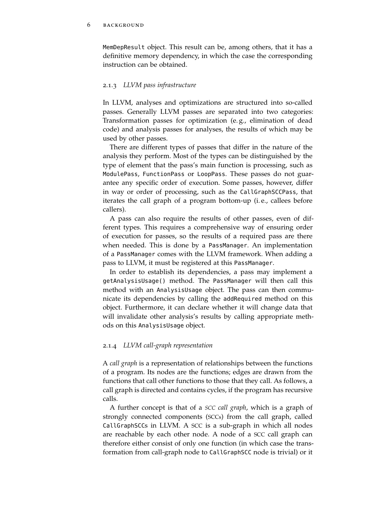#### 6 BACKGROUND

MemDepResult object. This result can be, among others, that it has a definitive memory dependency, in which the case the corresponding instruction can be obtained.

# <span id="page-13-0"></span>2.1.3 *LLVM pass infrastructure*

In LLVM, analyses and optimizations are structured into so-called passes. Generally LLVM passes are separated into two categories: Transformation passes for optimization (e. g., elimination of dead code) and analysis passes for analyses, the results of which may be used by other passes.

There are different types of passes that differ in the nature of the analysis they perform. Most of the types can be distinguished by the type of element that the pass's main function is processing, such as ModulePass, FunctionPass or LoopPass. These passes do not guarantee any specific order of execution. Some passes, however, differ in way or order of processing, such as the CallGraphSCCPass, that iterates the call graph of a program bottom-up (i. e., callees before callers).

A pass can also require the results of other passes, even of different types. This requires a comprehensive way of ensuring order of execution for passes, so the results of a required pass are there when needed. This is done by a PassManager. An implementation of a PassManager comes with the LLVM framework. When adding a pass to LLVM, it must be registered at this PassManager.

In order to establish its dependencies, a pass may implement a getAnalysisUsage() method. The PassManager will then call this method with an AnalysisUsage object. The pass can then communicate its dependencies by calling the addRequired method on this object. Furthermore, it can declare whether it will change data that will invalidate other analysis's results by calling appropriate methods on this AnalysisUsage object.

# <span id="page-13-1"></span>2.1.4 *LLVM call-graph representation*

A *call graph* is a representation of relationships between the functions of a program. Its nodes are the functions; edges are drawn from the functions that call other functions to those that they call. As follows, a call graph is directed and contains cycles, if the program has recursive calls.

A further concept is that of a *[SCC](#page-5-1) call graph*, which is a graph of strongly connected components ([SCCs](#page-5-1)) from the call graph, called CallGraphSCCs in LLVM. A [SCC](#page-5-1) is a sub-graph in which all nodes are reachable by each other node. A node of a [SCC](#page-5-1) call graph can therefore either consist of only one function (in which case the transformation from call-graph node to CallGraphSCC node is trivial) or it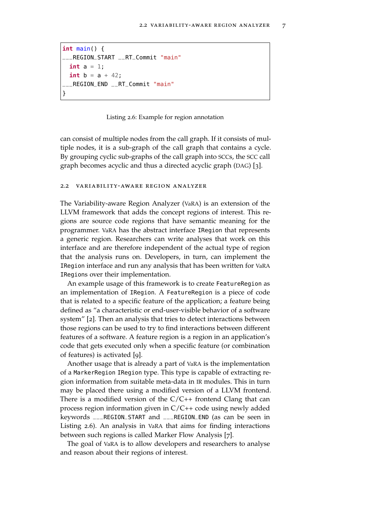```
int main() {
___REGION_START __RT_Commit "main"
  int a = 1;
  int b = a + 42;
  ___REGION_END __RT_Commit "main"
}
```
Listing 2.6: Example for region annotation

can consist of multiple nodes from the call graph. If it consists of multiple nodes, it is a sub-graph of the call graph that contains a cycle. By grouping cyclic sub-graphs of the call graph into [SCC](#page-5-1)s, the [SCC](#page-5-1) call graph becomes acyclic and thus a directed acyclic graph ([DAG](#page-5-2)) [[3](#page-34-4)].

#### <span id="page-14-0"></span>2.2 variability-aware region analyzer

The Variability-aware Region Analyzer ([VaRA](#page-6-0)) is an extension of the LLVM framework that adds the concept regions of interest. This regions are source code regions that have semantic meaning for the programmer. [VaRA](#page-6-0) has the abstract interface IRegion that represents a generic region. Researchers can write analyses that work on this interface and are therefore independent of the actual type of region that the analysis runs on. Developers, in turn, can implement the IRegion interface and run any analysis that has been written for [VaRA](#page-6-0) IRegions over their implementation.

An example usage of this framework is to create FeatureRegion as an implementation of IRegion. A FeatureRegion is a piece of code that is related to a specific feature of the application; a feature being defined as "a characteristic or end-user-visible behavior of a software system" [[2](#page-34-5)]. Then an analysis that tries to detect interactions between those regions can be used to try to find interactions between different features of a software. A feature region is a region in an application's code that gets executed only when a specific feature (or combination of features) is activated [[9](#page-34-6)].

Another usage that is already a part of [VaRA](#page-6-0) is the implementation of a MarkerRegion IRegion type. This type is capable of extracting region information from suitable meta-data in [IR](#page-5-0) modules. This in turn may be placed there using a modified version of a LLVM frontend. There is a modified version of the  $C/C++$  frontend Clang that can process region information given in C/C++ code using newly added keywords \_\_\_REGION\_START and \_\_\_REGION\_END (as can be seen in Listing [2](#page-14-2).6). An analysis in [VaRA](#page-6-0) that aims for finding interactions between such regions is called Marker Flow Analysis [[7](#page-34-7)].

<span id="page-14-1"></span>The goal of [VaRA](#page-6-0) is to allow developers and researchers to analyse and reason about their regions of interest.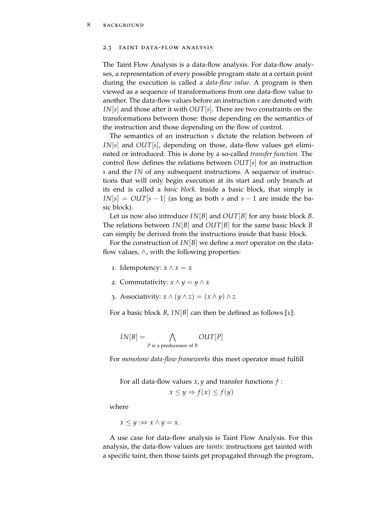#### 2.3 taint data-flow analysis

The Taint Flow Analysis is a data-flow analysis. For data-flow analyses, a representation of every possible program state at a certain point during the execution is called a *data-flow value*. A program is then viewed as a sequence of transformations from one data-flow value to another. The data-flow values before an instruction *s* are denoted with *IN*[*s*] and those after it with *OUT*[*s*]. There are two constraints on the transformations between those: those depending on the semantics of the instruction and those depending on the flow of control.

The semantics of an instruction *s* dictate the relation between of *IN*[*s*] and *OUT*[*s*], depending on those, data-flow values get eliminated or introduced. This is done by a so-called *transfer function*. The control flow defines the relations between *OUT*[*s*] for an instruction *s* and the *IN* of any subsequent instructions. A sequence of instructions that will only begin execution at its start and only branch at its end is called a *basic block*. Inside a basic block, that simply is  $IN|s| = OUT|s - 1|$  (as long as both *s* and  $s - 1$  are inside the basic block).

Let us now also introduce *IN*[*B*] and *OUT*[*B*] for any basic block *B*. The relations between *IN*[*B*] and *OUT*[*B*] for the same basic block *B* can simply be derived from the instructions inside that basic block.

For the construction of *IN*[*B*] we define a *meet* operator on the dataflow values,  $\land$ , with the following properties:

- 1. Idempotency:  $x \wedge x = x$
- 2. Commutativity:  $x \wedge y = y \wedge x$
- 3. Associativity:  $x \wedge (y \wedge z) = (x \wedge y) \wedge z$

For a basic block *B*, *IN*[*B*] can then be defined as follows [[1](#page-34-8)]:

$$
IN[B] = \bigwedge_{P \text{ is a predecessor of } B} OUT[P]
$$

For *monotone data-flow frameworks* this meet operator must fulfill

For all data-flow values *x*, *y* and transfer functions *f* :

$$
x \le y \Rightarrow f(x) \le f(y)
$$

where

 $x \leq y : \Leftrightarrow x \wedge y = x.$ 

A use case for data-flow analysis is Taint Flow Analysis. For this analysis, the data-flow values are *taints*: instructions get tainted with a specific taint, then those taints get propagated through the program,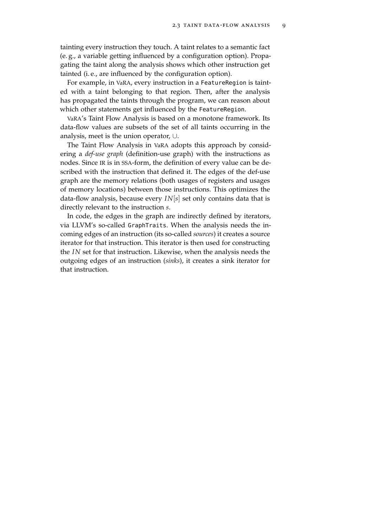tainting every instruction they touch. A taint relates to a semantic fact (e. g., a variable getting influenced by a configuration option). Propagating the taint along the analysis shows which other instruction get tainted (i. e., are influenced by the configuration option).

For example, in [VaRA](#page-6-0), every instruction in a FeatureRegion is tainted with a taint belonging to that region. Then, after the analysis has propagated the taints through the program, we can reason about which other statements get influenced by the FeatureRegion.

[VaRA](#page-6-0)'s Taint Flow Analysis is based on a monotone framework. Its data-flow values are subsets of the set of all taints occurring in the analysis, meet is the union operator, ∪.

The Taint Flow Analysis in [VaRA](#page-6-0) adopts this approach by considering a *def-use graph* (definition-use graph) with the instructions as nodes. Since [IR](#page-5-0) is in [SSA](#page-6-1)-form, the definition of every value can be described with the instruction that defined it. The edges of the def-use graph are the memory relations (both usages of registers and usages of memory locations) between those instructions. This optimizes the data-flow analysis, because every *IN*[*s*] set only contains data that is directly relevant to the instruction *s*.

In code, the edges in the graph are indirectly defined by iterators, via LLVM's so-called GraphTraits. When the analysis needs the incoming edges of an instruction (its so-called *sources*) it creates a source iterator for that instruction. This iterator is then used for constructing the *IN* set for that instruction. Likewise, when the analysis needs the outgoing edges of an instruction (*sinks*), it creates a sink iterator for that instruction.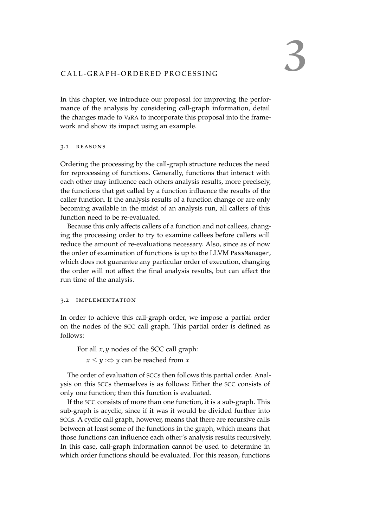In this chapter, we introduce our proposal for improving the performance of the analysis by considering call-graph information, detail the changes made to [VaRA](#page-6-0) to incorporate this proposal into the framework and show its impact using an example.

# <span id="page-18-0"></span>3.1 REASONS

Ordering the processing by the call-graph structure reduces the need for reprocessing of functions. Generally, functions that interact with each other may influence each others analysis results, more precisely, the functions that get called by a function influence the results of the caller function. If the analysis results of a function change or are only becoming available in the midst of an analysis run, all callers of this function need to be re-evaluated.

Because this only affects callers of a function and not callees, changing the processing order to try to examine callees before callers will reduce the amount of re-evaluations necessary. Also, since as of now the order of examination of functions is up to the LLVM PassManager, which does not guarantee any particular order of execution, changing the order will not affect the final analysis results, but can affect the run time of the analysis.

# <span id="page-18-1"></span>3.2 implementation

In order to achieve this call-graph order, we impose a partial order on the nodes of the [SCC](#page-5-1) call graph. This partial order is defined as follows:

For all *x*, *y* nodes of the SCC call graph:

 $x \leq y$  : $\Leftrightarrow y$  can be reached from *x* 

The order of evaluation of [SCC](#page-5-1)s then follows this partial order. Analysis on this [SCC](#page-5-1)s themselves is as follows: Either the [SCC](#page-5-1) consists of only one function; then this function is evaluated.

If the [SCC](#page-5-1) consists of more than one function, it is a sub-graph. This sub-graph is acyclic, since if it was it would be divided further into [SCC](#page-5-1)s. A cyclic call graph, however, means that there are recursive calls between at least some of the functions in the graph, which means that those functions can influence each other's analysis results recursively. In this case, call-graph information cannot be used to determine in which order functions should be evaluated. For this reason, functions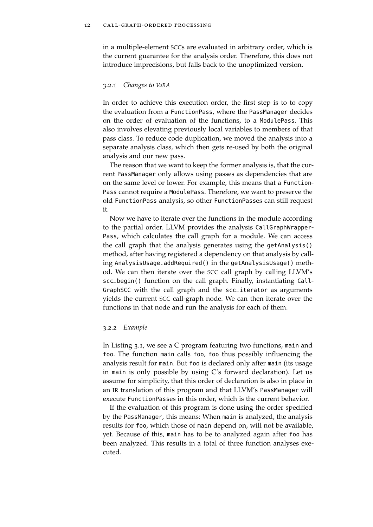in a multiple-element [SCC](#page-5-1)s are evaluated in arbitrary order, which is the current guarantee for the analysis order. Therefore, this does not introduce imprecisions, but falls back to the unoptimized version.

#### <span id="page-19-0"></span>3.2.1 *Changes to [VaRA](#page-6-0)*

In order to achieve this execution order, the first step is to to copy the evaluation from a FunctionPass, where the PassManager decides on the order of evaluation of the functions, to a ModulePass. This also involves elevating previously local variables to members of that pass class. To reduce code duplication, we moved the analysis into a separate analysis class, which then gets re-used by both the original analysis and our new pass.

The reason that we want to keep the former analysis is, that the current PassManager only allows using passes as dependencies that are on the same level or lower. For example, this means that a Function-Pass cannot require a ModulePass. Therefore, we want to preserve the old FunctionPass analysis, so other FunctionPasses can still request it.

Now we have to iterate over the functions in the module according to the partial order. LLVM provides the analysis CallGraphWrapper-Pass, which calculates the call graph for a module. We can access the call graph that the analysis generates using the getAnalysis() method, after having registered a dependency on that analysis by calling AnalysisUsage.addRequired() in the getAnalysisUsage() method. We can then iterate over the [SCC](#page-5-1) call graph by calling LLVM's scc\_begin() function on the call graph. Finally, instantiating Call-GraphSCC with the call graph and the scc\_iterator as arguments yields the current [SCC](#page-5-1) call-graph node. We can then iterate over the functions in that node and run the analysis for each of them.

## <span id="page-19-1"></span>3.2.2 *Example*

In Listing [3](#page-20-0).1, we see a C program featuring two functions, main and foo. The function main calls foo, foo thus possibly influencing the analysis result for main. But foo is declared only after main (its usage in main is only possible by using C's forward declaration). Let us assume for simplicity, that this order of declaration is also in place in an [IR](#page-5-0) translation of this program and that LLVM's PassManager will execute FunctionPasses in this order, which is the current behavior.

If the evaluation of this program is done using the order specified by the PassManager, this means: When main is analyzed, the analysis results for foo, which those of main depend on, will not be available, yet. Because of this, main has to be to analyzed again after foo has been analyzed. This results in a total of three function analyses executed.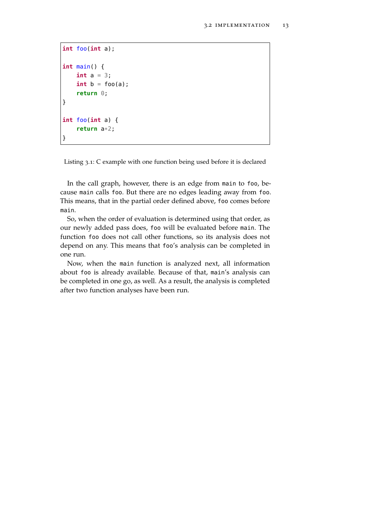```
int foo(int a);
int main() {
    int a = 3;
    int b = foo(a);return 0;
}
int foo(int a) {
    return a*2;
}
```
Listing 3.1: C example with one function being used before it is declared

In the call graph, however, there is an edge from main to foo, because main calls foo. But there are no edges leading away from foo. This means, that in the partial order defined above, foo comes before main.

So, when the order of evaluation is determined using that order, as our newly added pass does, foo will be evaluated before main. The function foo does not call other functions, so its analysis does not depend on any. This means that foo's analysis can be completed in one run.

Now, when the main function is analyzed next, all information about foo is already available. Because of that, main's analysis can be completed in one go, as well. As a result, the analysis is completed after two function analyses have been run.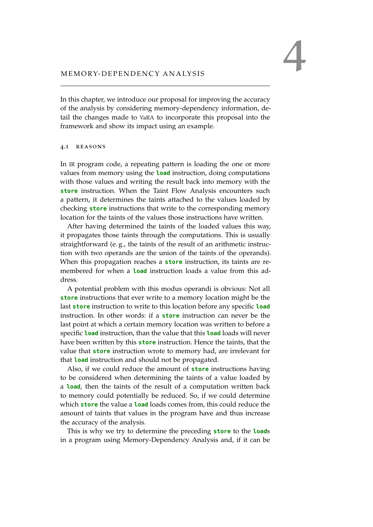In this chapter, we introduce our proposal for improving the accuracy of the analysis by considering memory-dependency information, detail the changes made to [VaRA](#page-6-0) to incorporate this proposal into the framework and show its impact using an example.

# <span id="page-22-0"></span>4.1 reasons

In [IR](#page-5-0) program code, a repeating pattern is loading the one or more values from memory using the **load** instruction, doing computations with those values and writing the result back into memory with the **store** instruction. When the Taint Flow Analysis encounters such a pattern, it determines the taints attached to the values loaded by checking **store** instructions that write to the corresponding memory location for the taints of the values those instructions have written.

After having determined the taints of the loaded values this way, it propagates those taints through the computations. This is usually straightforward (e. g., the taints of the result of an arithmetic instruction with two operands are the union of the taints of the operands). When this propagation reaches a **store** instruction, its taints are remembered for when a **load** instruction loads a value from this address.

A potential problem with this modus operandi is obvious: Not all **store** instructions that ever write to a memory location might be the last **store** instruction to write to this location before any specific **load** instruction. In other words: if a **store** instruction can never be the last point at which a certain memory location was written to before a specific **load** instruction, than the value that this **load** loads will never have been written by this **store** instruction. Hence the taints, that the value that **store** instruction wrote to memory had, are irrelevant for that **load** instruction and should not be propagated.

Also, if we could reduce the amount of **store** instructions having to be considered when determining the taints of a value loaded by a **load**, then the taints of the result of a computation written back to memory could potentially be reduced. So, if we could determine which **store** the value a **load** loads comes from, this could reduce the amount of taints that values in the program have and thus increase the accuracy of the analysis.

This is why we try to determine the preceding **store** to the **load**s in a program using Memory-Dependency Analysis and, if it can be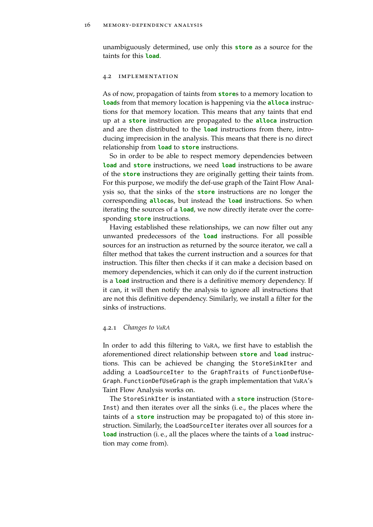<span id="page-23-0"></span>unambiguously determined, use only this **store** as a source for the taints for this **load**.

#### 4.2 implementation

As of now, propagation of taints from **store**s to a memory location to **load**s from that memory location is happening via the **alloca** instructions for that memory location. This means that any taints that end up at a **store** instruction are propagated to the **alloca** instruction and are then distributed to the **load** instructions from there, introducing imprecision in the analysis. This means that there is no direct relationship from **load** to **store** instructions.

So in order to be able to respect memory dependencies between **load** and **store** instructions, we need **load** instructions to be aware of the **store** instructions they are originally getting their taints from. For this purpose, we modify the def-use graph of the Taint Flow Analysis so, that the sinks of the **store** instructions are no longer the corresponding **alloca**s, but instead the **load** instructions. So when iterating the sources of a **load**, we now directly iterate over the corresponding **store** instructions.

Having established these relationships, we can now filter out any unwanted predecessors of the **load** instructions. For all possible sources for an instruction as returned by the source iterator, we call a filter method that takes the current instruction and a sources for that instruction. This filter then checks if it can make a decision based on memory dependencies, which it can only do if the current instruction is a **load** instruction and there is a definitive memory dependency. If it can, it will then notify the analysis to ignore all instructions that are not this definitive dependency. Similarly, we install a filter for the sinks of instructions.

## <span id="page-23-1"></span>4.2.1 *Changes to [VaRA](#page-6-0)*

In order to add this filtering to [VaRA](#page-6-0), we first have to establish the aforementioned direct relationship between **store** and **load** instructions. This can be achieved be changing the StoreSinkIter and adding a LoadSourceIter to the GraphTraits of FunctionDefUse-Graph. FunctionDefUseGraph is the graph implementation that [VaRA](#page-6-0)'s Taint Flow Analysis works on.

The StoreSinkIter is instantiated with a **store** instruction (Store-Inst) and then iterates over all the sinks (i. e., the places where the taints of a **store** instruction may be propagated to) of this store instruction. Similarly, the LoadSourceIter iterates over all sources for a **load** instruction (i. e., all the places where the taints of a **load** instruction may come from).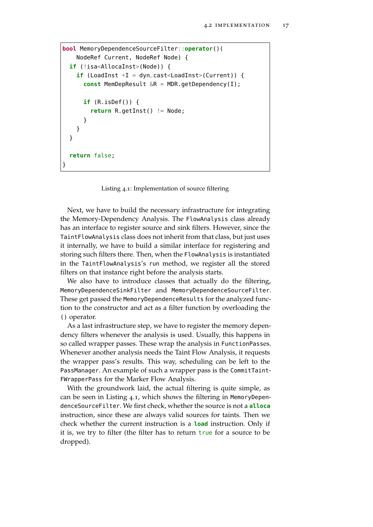```
bool MemoryDependenceSourceFilter::operator()(
    NodeRef Current, NodeRef Node) {
  if (!isa<AllocaInst>(Node)) {
    \mathbf{if} (LoadInst *I = \text{dyn\_cast \leq \text{loadInst} > (\text{Current})) {
       const MemDepResult &R = MDR.getDependency(I);
       if (R.isDef()) {
         return R.getInst() != Node;
       }
    }
  }
  return false;
}
```
Listing 4.1: Implementation of source filtering

Next, we have to build the necessary infrastructure for integrating the Memory-Dependency Analysis. The FlowAnalysis class already has an interface to register source and sink filters. However, since the TaintFlowAnalysis class does not inherit from that class, but just uses it internally, we have to build a similar interface for registering and storing such filters there. Then, when the FlowAnalysis is instantiated in the TaintFlowAnalysis's run method, we register all the stored filters on that instance right before the analysis starts.

We also have to introduce classes that actually do the filtering, MemoryDependenceSinkFilter and MemoryDependenceSourceFilter. These get passed the MemoryDependenceResults for the analyzed function to the constructor and act as a filter function by overloading the () operator.

As a last infrastructure step, we have to register the memory dependency filters whenever the analysis is used. Usually, this happens in so called wrapper passes. These wrap the analysis in FunctionPasses. Whenever another analysis needs the Taint Flow Analysis, it requests the wrapper pass's results. This way, scheduling can be left to the PassManager. An example of such a wrapper pass is the CommitTaint-FWrapperPass for the Marker Flow Analysis.

With the groundwork laid, the actual filtering is quite simple, as can be seen in Listing [4](#page-24-0).1, which shows the filtering in MemoryDependenceSourceFilter. We first check, whether the source is not a **alloca** instruction, since these are always valid sources for taints. Then we check whether the current instruction is a **load** instruction. Only if it is, we try to filter (the filter has to return  $true$  for a source to be dropped).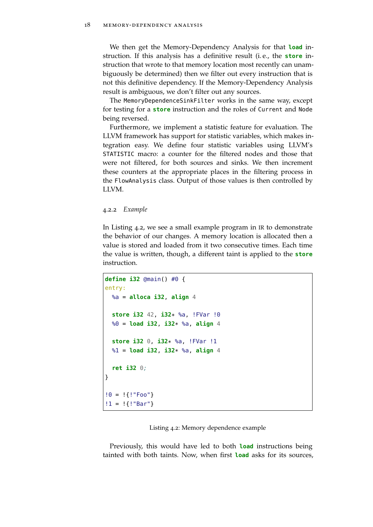We then get the Memory-Dependency Analysis for that **load** instruction. If this analysis has a definitive result (i. e., the **store** instruction that wrote to that memory location most recently can unambiguously be determined) then we filter out every instruction that is not this definitive dependency. If the Memory-Dependency Analysis result is ambiguous, we don't filter out any sources.

The MemoryDependenceSinkFilter works in the same way, except for testing for a **store** instruction and the roles of Current and Node being reversed.

Furthermore, we implement a statistic feature for evaluation. The LLVM framework has support for statistic variables, which makes integration easy. We define four statistic variables using LLVM's STATISTIC macro: a counter for the filtered nodes and those that were not filtered, for both sources and sinks. We then increment these counters at the appropriate places in the filtering process in the FlowAnalysis class. Output of those values is then controlled by LLVM.

<span id="page-25-0"></span>4.2.2 *Example*

In Listing [4](#page-25-1).2, we see a small example program in [IR](#page-5-0) to demonstrate the behavior of our changes. A memory location is allocated then a value is stored and loaded from it two consecutive times. Each time the value is written, though, a different taint is applied to the **store** instruction.

```
define i32 @main() #0 {
entry:
 %a = alloca i32, align 4
  store i32 42, i32* %a, !FVar !0
  %0 = load i32, i32* %a, align 4
  store i32 0, i32* %a, !FVar !1
  %1 = load i32, i32* %a, align 4
  ret i32 0;
}
!0 = !{!"Foo"}
!1 = !{!"Bar"}
```
Listing 4.2: Memory dependence example

Previously, this would have led to both **load** instructions being tainted with both taints. Now, when first **load** asks for its sources,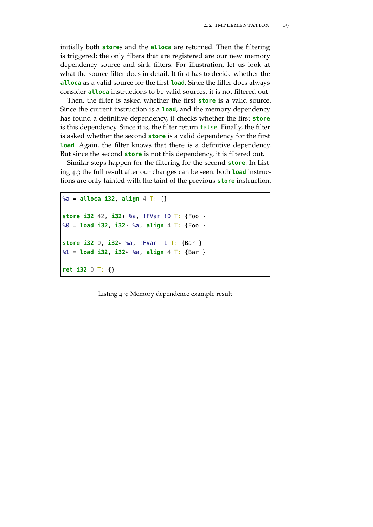initially both **store**s and the **alloca** are returned. Then the filtering is triggered; the only filters that are registered are our new memory dependency source and sink filters. For illustration, let us look at what the source filter does in detail. It first has to decide whether the **alloca** as a valid source for the first **load**. Since the filter does always consider **alloca** instructions to be valid sources, it is not filtered out.

Then, the filter is asked whether the first **store** is a valid source. Since the current instruction is a **load**, and the memory dependency has found a definitive dependency, it checks whether the first **store** is this dependency. Since it is, the filter return false. Finally, the filter is asked whether the second **store** is a valid dependency for the first **load**. Again, the filter knows that there is a definitive dependency. But since the second **store** is not this dependency, it is filtered out.

Similar steps happen for the filtering for the second **store**. In Listing [4](#page-26-0).3 the full result after our changes can be seen: both **load** instructions are only tainted with the taint of the previous **store** instruction.

```
%a = alloca i32, align 4 T: {}
store i32 42, i32* %a, !FVar !0 T: {Foo }
%0 = load i32, i32* %a, align 4 T: {Foo }
store i32 0, i32* %a, !FVar !1 T: {Bar }
%1 = load i32, i32* %a, align 4 T: {Bar }
ret i32 0 T: {}
```
Listing 4.3: Memory dependence example result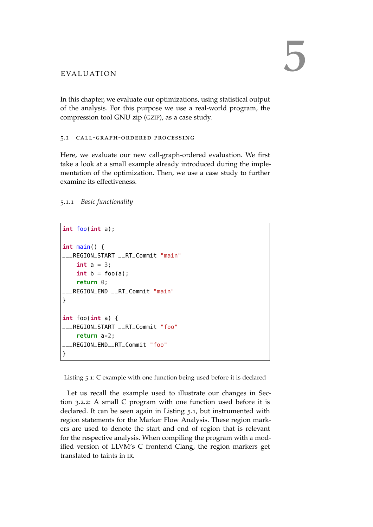In this chapter, we evaluate our optimizations, using statistical output of the analysis. For this purpose we use a real-world program, the compression tool GNU zip ([GZIP](#page-5-3)), as a case study.

<span id="page-28-0"></span>5.1 call-graph-ordered processing

Here, we evaluate our new call-graph-ordered evaluation. We first take a look at a small example already introduced during the implementation of the optimization. Then, we use a case study to further examine its effectiveness.

<span id="page-28-1"></span>5.1.1 *Basic functionality*

```
int foo(int a);
int main() {
___REGION_START __RT_Commit "main"
    int a = 3;
    int b = foo(a);return 0;
___REGION_END __RT_Commit "main"
}
int foo(int a) {
___REGION_START __RT_Commit "foo"
    return a*2;
  ___REGION_END__RT_Commit "foo"
}
```
Listing 5.1: C example with one function being used before it is declared

Let us recall the example used to illustrate our changes in Section [3](#page-19-1).2.2: A small C program with one function used before it is declared. It can be seen again in Listing [5](#page-28-2).1, but instrumented with region statements for the Marker Flow Analysis. These region markers are used to denote the start and end of region that is relevant for the respective analysis. When compiling the program with a modified version of LLVM's C frontend Clang, the region markers get translated to taints in [IR](#page-5-0).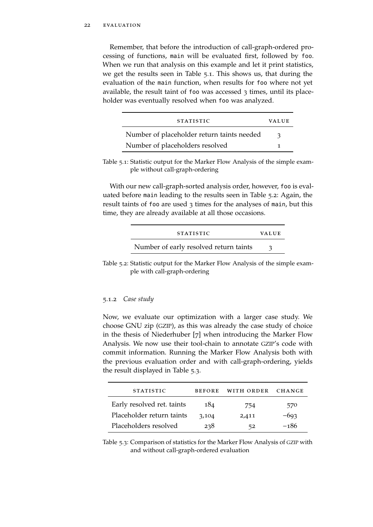Remember, that before the introduction of call-graph-ordered processing of functions, main will be evaluated first, followed by foo. When we run that analysis on this example and let it print statistics, we get the results seen in Table [5](#page-29-1).1. This shows us, that during the evaluation of the main function, when results for foo where not yet available, the result taint of foo was accessed 3 times, until its placeholder was eventually resolved when foo was analyzed.

<span id="page-29-1"></span>

| <b>STATISTIC</b>                           | VALUE |
|--------------------------------------------|-------|
| Number of placeholder return taints needed |       |
| Number of placeholders resolved            |       |

Table 5.1: Statistic output for the Marker Flow Analysis of the simple example without call-graph-ordering

With our new call-graph-sorted analysis order, however, foo is evaluated before main leading to the results seen in Table [5](#page-29-2).2: Again, the result taints of foo are used 3 times for the analyses of main, but this time, they are already available at all those occasions.

<span id="page-29-2"></span>

| <b>STATISTIC</b>                       | <b>VALUE</b> |
|----------------------------------------|--------------|
| Number of early resolved return taints |              |

Table 5.2: Statistic output for the Marker Flow Analysis of the simple example with call-graph-ordering

# <span id="page-29-0"></span>5.1.2 *Case study*

Now, we evaluate our optimization with a larger case study. We choose GNU zip ([GZIP](#page-5-3)), as this was already the case study of choice in the thesis of Niederhuber [[7](#page-34-7)] when introducing the Marker Flow Analysis. We now use their tool-chain to annotate [GZIP](#page-5-3)'s code with commit information. Running the Marker Flow Analysis both with the previous evaluation order and with call-graph-ordering, yields the result displayed in Table [5](#page-29-3).3.

<span id="page-29-3"></span>

| <b>STATISTIC</b>           | <b>BEFORE</b> | WITH ORDER | <b>CHANGE</b> |
|----------------------------|---------------|------------|---------------|
| Early resolved ret. taints | 184           | 754        | 570           |
| Placeholder return taints  | 3,104         | 2,411      | $-693$        |
| Placeholders resolved      | 238           | 52         | -186          |

Table 5.3: Comparison of statistics for the Marker Flow Analysis of [GZIP](#page-5-3) with and without call-graph-ordered evaluation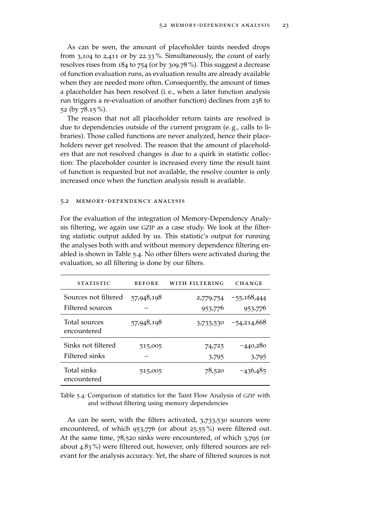As can be seen, the amount of placeholder taints needed drops from 3,104 to 2,411 or by 22.33 %. Simultaneously, the count of early resolves rises from 184 to 754 (or by 309.78 %). This suggest a decrease of function evaluation runs, as evaluation results are already available when they are needed more often. Consequently, the amount of times a placeholder has been resolved (i. e., when a later function analysis run triggers a re-evaluation of another function) declines from 238 to 52 (by 78.15 %).

The reason that not all placeholder return taints are resolved is due to dependencies outside of the current program (e. g., calls to libraries). Those called functions are never analyzed, hence their placeholders never get resolved. The reason that the amount of placeholders that are not resolved changes is due to a quirk in statistic collection: The placeholder counter is increased every time the result taint of function is requested but not available, the resolve counter is only increased once when the function analysis result is available.

#### <span id="page-30-0"></span>5.2 memory-dependency analysis

For the evaluation of the integration of Memory-Dependency Analysis filtering, we again use [GZIP](#page-5-3) as a case study. We look at the filtering statistic output added by us. This statistic's output for running the analyses both with and without memory dependence filtering enabled is shown in Table [5](#page-30-1).4. No other filters were activated during the evaluation, so all filtering is done by our filters.

<span id="page-30-1"></span>

| <b>STATISTIC</b>             | <b>BEFORE</b> | WITH FILTERING | <b>CHANGE</b> |
|------------------------------|---------------|----------------|---------------|
| Sources not filtered         | 57,948,198    | 2,779,754      | $-55,168,444$ |
| Filtered sources             |               | 953,776        | 953,776       |
| Total sources<br>encountered | 57,948,198    | 3,733,530      | $-54,214,668$ |
| Sinks not filtered           | 515,005       | 74,725         | $-440,280$    |
| Filtered sinks               |               | 3,795          | 3,795         |
| Total sinks<br>encountered   | 515,005       | 78,520         | $-436,485$    |

Table 5.4: Comparison of statistics for the Taint Flow Analysis of [GZIP](#page-5-3) with and without filtering using memory dependencies

As can be seen, with the filters activated, 3,733,530 sources were encountered, of which 953,776 (or about 25.55 %) were filtered out. At the same time, 78,520 sinks were encountered, of which 3,795 (or about 4.83 %) were filtered out, however, only filtered sources are relevant for the analysis accuracy. Yet, the share of filtered sources is not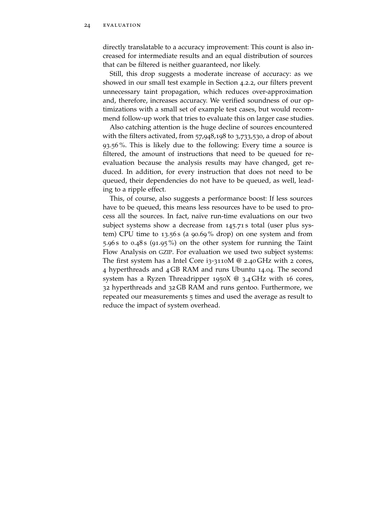directly translatable to a accuracy improvement: This count is also increased for intermediate results and an equal distribution of sources that can be filtered is neither guaranteed, nor likely.

Still, this drop suggests a moderate increase of accuracy: as we showed in our small test example in Section [4](#page-25-0).2.2, our filters prevent unnecessary taint propagation, which reduces over-approximation and, therefore, increases accuracy. We verified soundness of our optimizations with a small set of example test cases, but would recommend follow-up work that tries to evaluate this on larger case studies.

Also catching attention is the huge decline of sources encountered with the filters activated, from 57,948,198 to 3,733,530, a drop of about 93.56 %. This is likely due to the following: Every time a source is filtered, the amount of instructions that need to be queued for reevaluation because the analysis results may have changed, get reduced. In addition, for every instruction that does not need to be queued, their dependencies do not have to be queued, as well, leading to a ripple effect.

This, of course, also suggests a performance boost: If less sources have to be queued, this means less resources have to be used to process all the sources. In fact, naïve run-time evaluations on our two subject systems show a decrease from 145.71 s total (user plus system) CPU time to 13.56 s (a 90.69 % drop) on one system and from 5.96 s to 0.48 s (91.95 %) on the other system for running the Taint Flow Analysis on [GZIP](#page-5-3). For evaluation we used two subject systems: The first system has a Intel Core  $i_3$ -3110M @ 2.40 GHz with 2 cores, 4 hyperthreads and 4 GB RAM and runs Ubuntu 14.04. The second system has a Ryzen Threadripper 1950X @ 3.4 GHz with 16 cores, 32 hyperthreads and 32 GB RAM and runs gentoo. Furthermore, we repeated our measurements 5 times and used the average as result to reduce the impact of system overhead.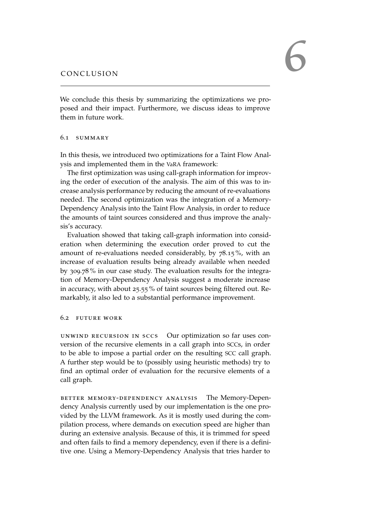<span id="page-32-0"></span>We conclude this thesis by summarizing the optimizations we proposed and their impact. Furthermore, we discuss ideas to improve them in future work.

# <span id="page-32-1"></span>6.1 summary

In this thesis, we introduced two optimizations for a Taint Flow Analysis and implemented them in the [VaRA](#page-6-0) framework:

The first optimization was using call-graph information for improving the order of execution of the analysis. The aim of this was to increase analysis performance by reducing the amount of re-evaluations needed. The second optimization was the integration of a Memory-Dependency Analysis into the Taint Flow Analysis, in order to reduce the amounts of taint sources considered and thus improve the analysis's accuracy.

Evaluation showed that taking call-graph information into consideration when determining the execution order proved to cut the amount of re-evaluations needed considerably, by 78.15 %, with an increase of evaluation results being already available when needed by 309.78 % in our case study. The evaluation results for the integration of Memory-Dependency Analysis suggest a moderate increase in accuracy, with about 25.55 % of taint sources being filtered out. Remarkably, it also led to a substantial performance improvement.

# <span id="page-32-2"></span>6.2 future work

unwind recursion in sccs Our optimization so far uses conversion of the recursive elements in a call graph into [SCC](#page-5-1)s, in order to be able to impose a partial order on the resulting [SCC](#page-5-1) call graph. A further step would be to (possibly using heuristic methods) try to find an optimal order of evaluation for the recursive elements of a call graph.

better memory-dependency analysis The Memory-Dependency Analysis currently used by our implementation is the one provided by the LLVM framework. As it is mostly used during the compilation process, where demands on execution speed are higher than during an extensive analysis. Because of this, it is trimmed for speed and often fails to find a memory dependency, even if there is a definitive one. Using a Memory-Dependency Analysis that tries harder to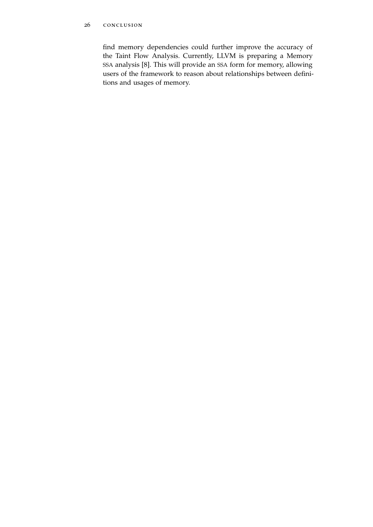find memory dependencies could further improve the accuracy of the Taint Flow Analysis. Currently, LLVM is preparing a Memory [SSA](#page-6-1) analysis [[8](#page-34-9)]. This will provide an [SSA](#page-6-1) form for memory, allowing users of the framework to reason about relationships between definitions and usages of memory.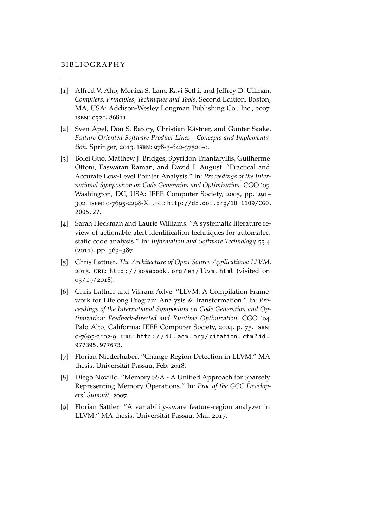- <span id="page-34-8"></span><span id="page-34-1"></span>[1] Alfred V. Aho, Monica S. Lam, Ravi Sethi, and Jeffrey D. Ullman. *Compilers: Principles, Techniques and Tools*. Second Edition. Boston, MA, USA: Addison-Wesley Longman Publishing Co., Inc., 2007. isbn: 0321486811.
- <span id="page-34-5"></span>[2] Sven Apel, Don S. Batory, Christian Kästner, and Gunter Saake. *Feature-Oriented Software Product Lines - Concepts and Implementation*. Springer, 2013. isbn: 978-3-642-37520-0.
- <span id="page-34-4"></span>[3] Bolei Guo, Matthew J. Bridges, Spyridon Triantafyllis, Guilherme Ottoni, Easwaran Raman, and David I. August. "Practical and Accurate Low-Level Pointer Analysis." In: *Proceedings of the International Symposium on Code Generation and Optimization*. CGO '05. Washington, DC, USA: IEEE Computer Society, 2005, pp. 291– 302. isbn: 0-7695-2298-X. url: [http://dx.doi.org/10.1109/CGO.](http://dx.doi.org/10.1109/CGO.2005.27) [2005.27](http://dx.doi.org/10.1109/CGO.2005.27).
- <span id="page-34-0"></span>[4] Sarah Heckman and Laurie Williams. "A systematic literature review of actionable alert identification techniques for automated static code analysis." In: *Information and Software Technology* 53.4  $(2011)$ , pp.  $363-387$ .
- <span id="page-34-3"></span>[5] Chris Lattner. *The Architecture of Open Source Applications: LLVM*. 2015. url: [http : / / aosabook . org / en / llvm . html](http://aosabook.org/en/llvm.html) (visited on 03/19/2018).
- <span id="page-34-2"></span>[6] Chris Lattner and Vikram Adve. "LLVM: A Compilation Framework for Lifelong Program Analysis & Transformation." In: *Proceedings of the International Symposium on Code Generation and Optimization: Feedback-directed and Runtime Optimization*. CGO '04. Palo Alto, California: IEEE Computer Society, 2004, p. 75. isbn: 0-7695-2102-9. url: [http : / / dl . acm . org / citation . cfm ? id =](http://dl.acm.org/citation.cfm?id=977395.977673) [977395.977673](http://dl.acm.org/citation.cfm?id=977395.977673).
- <span id="page-34-7"></span>[7] Florian Niederhuber. "Change-Region Detection in LLVM." MA thesis. Universität Passau, Feb. 2018.
- <span id="page-34-9"></span>[8] Diego Novillo. "Memory SSA - A Unified Approach for Sparsely Representing Memory Operations." In: *Proc of the GCC Developers' Summit*. 2007.
- <span id="page-34-6"></span>[9] Florian Sattler. "A variability-aware feature-region analyzer in LLVM." MA thesis. Universität Passau, Mar. 2017.